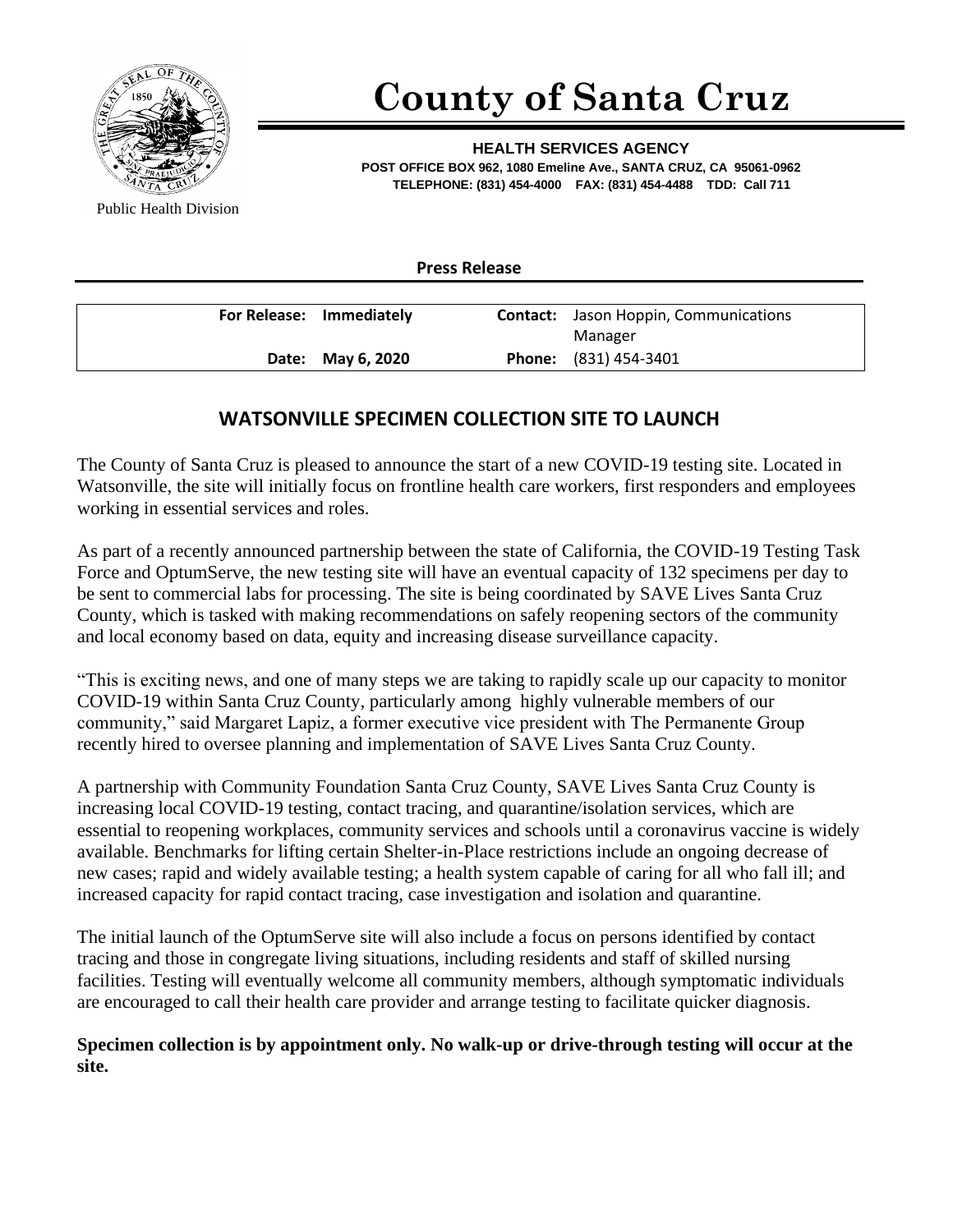

## **County of Santa Cruz**

**HEALTH SERVICES AGENCY POST OFFICE BOX 962, 1080 Emeline Ave., SANTA CRUZ, CA 95061-0962 TELEPHONE: (831) 454-4000 FAX: (831) 454-4488 TDD: Call 711**

Public Health Division

**Press Release**

| For Release: Immediately | <b>Contact:</b> Jason Hoppin, Communications |
|--------------------------|----------------------------------------------|
|                          | Manager                                      |
| Date: May 6, 2020        | <b>Phone:</b> (831) 454-3401                 |

## **WATSONVILLE SPECIMEN COLLECTION SITE TO LAUNCH**

The County of Santa Cruz is pleased to announce the start of a new COVID-19 testing site. Located in Watsonville, the site will initially focus on frontline health care workers, first responders and employees working in essential services and roles.

As part of a recently announced partnership between the state of California, the COVID-19 Testing Task Force and OptumServe, the new testing site will have an eventual capacity of 132 specimens per day to be sent to commercial labs for processing. The site is being coordinated by SAVE Lives Santa Cruz County, which is tasked with making recommendations on safely reopening sectors of the community and local economy based on data, equity and increasing disease surveillance capacity.

"This is exciting news, and one of many steps we are taking to rapidly scale up our capacity to monitor COVID-19 within Santa Cruz County, particularly among highly vulnerable members of our community," said Margaret Lapiz, a former executive vice president with The Permanente Group recently hired to oversee planning and implementation of SAVE Lives Santa Cruz County.

A partnership with Community Foundation Santa Cruz County, SAVE Lives Santa Cruz County is increasing local COVID-19 testing, contact tracing, and quarantine/isolation services, which are essential to reopening workplaces, community services and schools until a coronavirus vaccine is widely available. Benchmarks for lifting certain Shelter-in-Place restrictions include an ongoing decrease of new cases; rapid and widely available testing; a health system capable of caring for all who fall ill; and increased capacity for rapid contact tracing, case investigation and isolation and quarantine.

The initial launch of the OptumServe site will also include a focus on persons identified by contact tracing and those in congregate living situations, including residents and staff of skilled nursing facilities. Testing will eventually welcome all community members, although symptomatic individuals are encouraged to call their health care provider and arrange testing to facilitate quicker diagnosis.

## **Specimen collection is by appointment only. No walk-up or drive-through testing will occur at the site.**